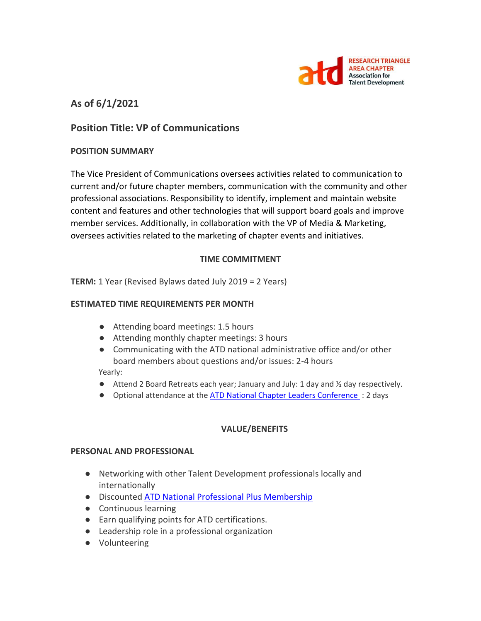

# **As of 6/1/2021**

# **Position Title: VP of Communications**

#### **POSITION SUMMARY**

The Vice President of Communications oversees activities related to communication to current and/or future chapter members, communication with the community and other professional associations. Responsibility to identify, implement and maintain website content and features and other technologies that will support board goals and improve member services. Additionally, in collaboration with the VP of Media & Marketing, oversees activities related to the marketing of chapter events and initiatives.

#### **TIME COMMITMENT**

**TERM:** 1 Year (Revised Bylaws dated July 2019 = 2 Years)

#### **ESTIMATED TIME REQUIREMENTS PER MONTH**

- Attending board meetings: 1.5 hours
- Attending monthly chapter meetings: 3 hours
- Communicating with the ATD national administrative office and/or other board members about questions and/or issues: 2-4 hours

Yearly:

- Attend 2 Board Retreats each year; January and July: 1 day and ½ day respectively.
- Optional attendance at the **ATD National Chapter Leaders Conference** : 2 days

#### **VALUE/BENEFITS**

#### **PERSONAL AND PROFESSIONAL**

- Networking with other Talent Development professionals locally and internationally
- Discounted [ATD National Professional Plus Membership](https://checkout.td.org/Membership)
- Continuous learning
- Earn qualifying points for ATD certifications.
- Leadership role in a professional organization
- Volunteering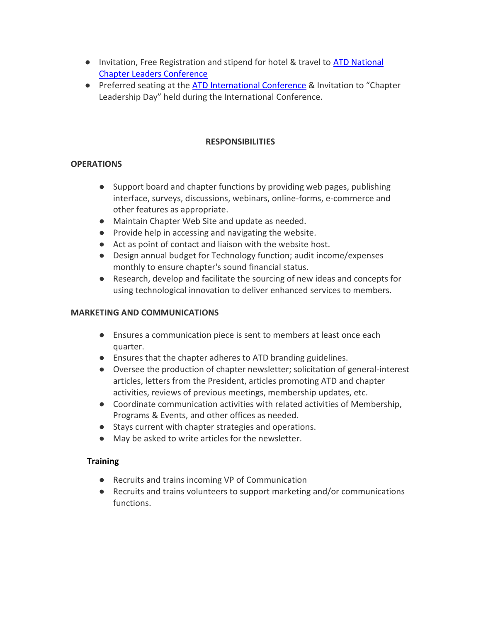- Invitation, Free Registration and stipend for hotel & travel to ATD National [Chapter Leaders Conference](https://events.td.org/Chapter-Leaders-Conference)
- Preferred seating at the [ATD International Conference](https://www.td.org/events) & Invitation to "Chapter Leadership Day" held during the International Conference.

### **RESPONSIBILITIES**

## **OPERATIONS**

- Support board and chapter functions by providing web pages, publishing interface, surveys, discussions, webinars, online-forms, e-commerce and other features as appropriate.
- Maintain Chapter Web Site and update as needed.
- Provide help in accessing and navigating the website.
- Act as point of contact and liaison with the website host.
- Design annual budget for Technology function; audit income/expenses monthly to ensure chapter's sound financial status.
- Research, develop and facilitate the sourcing of new ideas and concepts for using technological innovation to deliver enhanced services to members.

### **MARKETING AND COMMUNICATIONS**

- Ensures a communication piece is sent to members at least once each quarter.
- Ensures that the chapter adheres to ATD branding guidelines.
- Oversee the production of chapter newsletter; solicitation of general-interest articles, letters from the President, articles promoting ATD and chapter activities, reviews of previous meetings, membership updates, etc.
- Coordinate communication activities with related activities of Membership, Programs & Events, and other offices as needed.
- Stays current with chapter strategies and operations.
- May be asked to write articles for the newsletter.

## **Training**

- Recruits and trains incoming VP of Communication
- Recruits and trains volunteers to support marketing and/or communications functions.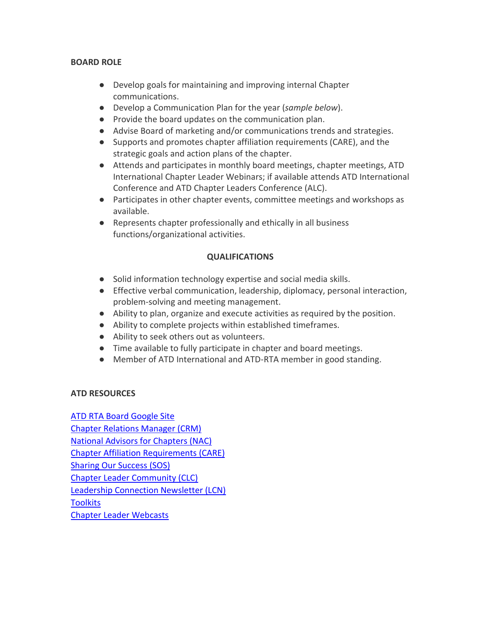### **BOARD ROLE**

- Develop goals for maintaining and improving internal Chapter communications.
- Develop a Communication Plan for the year (*sample below*).
- Provide the board updates on the communication plan.
- Advise Board of marketing and/or communications trends and strategies.
- Supports and promotes chapter affiliation requirements (CARE), and the strategic goals and action plans of the chapter.
- Attends and participates in monthly board meetings, chapter meetings, ATD International Chapter Leader Webinars; if available attends ATD International Conference and ATD Chapter Leaders Conference (ALC).
- Participates in other chapter events, committee meetings and workshops as available.
- Represents chapter professionally and ethically in all business functions/organizational activities.

## **QUALIFICATIONS**

- Solid information technology expertise and social media skills.
- Effective verbal communication, leadership, diplomacy, personal interaction, problem-solving and meeting management.
- Ability to plan, organize and execute activities as required by the position.
- Ability to complete projects within established timeframes.
- Ability to seek others out as volunteers.
- Time available to fully participate in chapter and board meetings.
- Member of ATD International and ATD-RTA member in good standing.

## **ATD RESOURCES**

[ATD RTA Board Google Site](https://sites.google.com/site/rtaboardofdirectors/home) [Chapter Relations Manager \(CRM\)](http://www.astd.org/Members/Chapters/Chapter-Leader-Community/Resources/Chapter-Services-Team) [National Advisors for Chapters \(NAC\)](http://www.astd.org/Members/Chapters/Chapter-Leader-Community/Resources/National-Advisors-for-Chapters) [Chapter Affiliation Requirements \(CARE\)](http://www.astd.org/Members/Chapters/Chapter-Leader-Community/Chapter-Administration) [Sharing Our Success \(SOS\)](http://www.astd.org/Members/Chapters/Chapter-Leader-Community/Resources/SOS) [Chapter Leader Community \(CLC\)](http://www.astd.org/Members/Chapters/Chapter-Leader-Community) [Leadership Connection Newsletter \(LCN\)](http://www.astd.org/Members/Chapters/Chapter-Leader-Community/Communications) **[Toolkits](http://www.astd.org/Members/Chapters/Chapter-Leader-Community/Resources/Toolkits)** [Chapter Leader Webcasts](http://www.astd.org/Members/Chapters/Chapter-Leader-Community/Leadership-Development)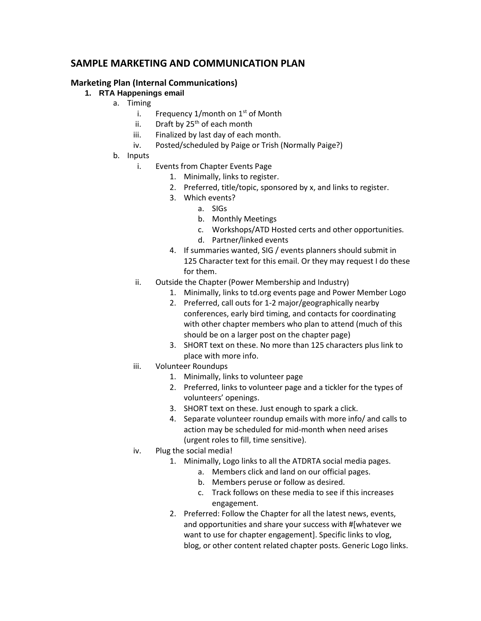# **SAMPLE MARKETING AND COMMUNICATION PLAN**

#### **Marketing Plan (Internal Communications)**

- **1. RTA Happenings email**
	- a. Timing
		- i. Frequency  $1/m$ onth on  $1<sup>st</sup>$  of Month
		- ii. Draft by  $25<sup>th</sup>$  of each month
		- iii. Finalized by last day of each month.
		- iv. Posted/scheduled by Paige or Trish (Normally Paige?)
	- b. Inputs
		- i. Events from Chapter Events Page
			- 1. Minimally, links to register.
			- 2. Preferred, title/topic, sponsored by x, and links to register.
			- 3. Which events?
				- a. SIGs
				- b. Monthly Meetings
				- c. Workshops/ATD Hosted certs and other opportunities.
				- d. Partner/linked events
			- 4. If summaries wanted, SIG / events planners should submit in 125 Character text for this email. Or they may request I do these for them.
		- ii. Outside the Chapter (Power Membership and Industry)
			- 1. Minimally, links to td.org events page and Power Member Logo
			- 2. Preferred, call outs for 1-2 major/geographically nearby conferences, early bird timing, and contacts for coordinating with other chapter members who plan to attend (much of this should be on a larger post on the chapter page)
			- 3. SHORT text on these. No more than 125 characters plus link to place with more info.
		- iii. Volunteer Roundups
			- 1. Minimally, links to volunteer page
			- 2. Preferred, links to volunteer page and a tickler for the types of volunteers' openings.
			- 3. SHORT text on these. Just enough to spark a click.
			- 4. Separate volunteer roundup emails with more info/ and calls to action may be scheduled for mid-month when need arises (urgent roles to fill, time sensitive).
		- iv. Plug the social media!
			- 1. Minimally, Logo links to all the ATDRTA social media pages.
				- a. Members click and land on our official pages.
				- b. Members peruse or follow as desired.
				- c. Track follows on these media to see if this increases engagement.
			- 2. Preferred: Follow the Chapter for all the latest news, events, and opportunities and share your success with #[whatever we want to use for chapter engagement]. Specific links to vlog, blog, or other content related chapter posts. Generic Logo links.